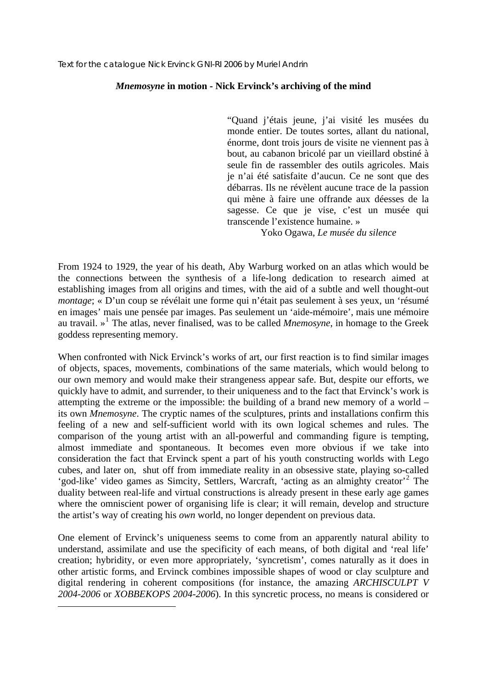## *Mnemosyne* **in motion - Nick Ervinck's archiving of the mind**

"Quand j'étais jeune, j'ai visité les musées du monde entier. De toutes sortes, allant du national, énorme, dont trois jours de visite ne viennent pas à bout, au cabanon bricolé par un vieillard obstiné à seule fin de rassembler des outils agricoles. Mais je n'ai été satisfaite d'aucun. Ce ne sont que des débarras. Ils ne révèlent aucune trace de la passion qui mène à faire une offrande aux déesses de la sagesse. Ce que je vise, c'est un musée qui transcende l'existence humaine. »

Yoko Ogawa, *Le musée du silence*

From 1924 to 1929, the year of his death, Aby Warburg worked on an atlas which would be the connections between the synthesis of a life-long dedication to research aimed at establishing images from all origins and times, with the aid of a subtle and well thought-out *montage*; « D'un coup se révélait une forme qui n'était pas seulement à ses yeux, un 'résumé en images' mais une pensée par images. Pas seulement un 'aide-mémoire', mais une mémoire au travail. »[1](#page-0-0) The atlas, never finalised, was to be called *Mnemosyne*, in homage to the Greek goddess representing memory.

When confronted with Nick Ervinck's works of art, our first reaction is to find similar images of objects, spaces, movements, combinations of the same materials, which would belong to our own memory and would make their strangeness appear safe. But, despite our efforts, we quickly have to admit, and surrender, to their uniqueness and to the fact that Ervinck's work is attempting the extreme or the impossible: the building of a brand new memory of a world – its own *Mnemosyne*. The cryptic names of the sculptures, prints and installations confirm this feeling of a new and self-sufficient world with its own logical schemes and rules. The comparison of the young artist with an all-powerful and commanding figure is tempting, almost immediate and spontaneous. It becomes even more obvious if we take into consideration the fact that Ervinck spent a part of his youth constructing worlds with Lego cubes, and later on, shut off from immediate reality in an obsessive state, playing so-called 'god-like' video games as Simcity, Settlers, Warcraft, 'acting as an almighty creator'<sup>[2](#page-0-1)</sup> The duality between real-life and virtual constructions is already present in these early age games where the omniscient power of organising life is clear; it will remain, develop and structure the artist's way of creating his *own* world, no longer dependent on previous data.

One element of Ervinck's uniqueness seems to come from an apparently natural ability to understand, assimilate and use the specificity of each means, of both digital and 'real life' creation; hybridity, or even more appropriately, 'syncretism', comes naturally as it does in other artistic forms, and Ervinck combines impossible shapes of wood or clay sculpture and digital rendering in coherent compositions (for instance, the amazing *ARCHISCULPT V 2004-2006* or *XOBBEKOPS 2004-2006*). In this syncretic process, no means is considered or

<span id="page-0-1"></span><span id="page-0-0"></span><u>.</u>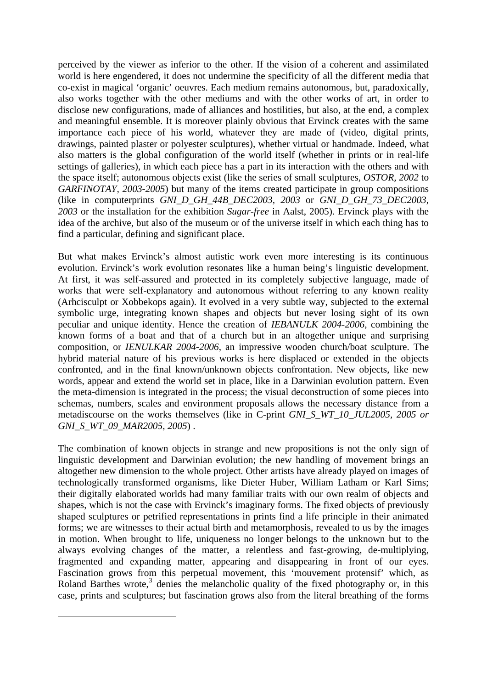perceived by the viewer as inferior to the other. If the vision of a coherent and assimilated world is here engendered, it does not undermine the specificity of all the different media that co-exist in magical 'organic' oeuvres. Each medium remains autonomous, but, paradoxically, also works together with the other mediums and with the other works of art, in order to disclose new configurations, made of alliances and hostilities, but also, at the end, a complex and meaningful ensemble. It is moreover plainly obvious that Ervinck creates with the same importance each piece of his world, whatever they are made of (video, digital prints, drawings, painted plaster or polyester sculptures), whether virtual or handmade. Indeed, what also matters is the global configuration of the world itself (whether in prints or in real-life settings of galleries), in which each piece has a part in its interaction with the others and with the space itself; autonomous objects exist (like the series of small sculptures, *OSTOR, 2002* to *GARFINOTAY, 2003-2005*) but many of the items created participate in group compositions (like in computerprints *GNI\_D\_GH\_44B\_DEC2003, 2003* or *GNI\_D\_GH\_73\_DEC2003, 2003* or the installation for the exhibition *Sugar-free* in Aalst, 2005). Ervinck plays with the idea of the archive, but also of the museum or of the universe itself in which each thing has to find a particular, defining and significant place.

But what makes Ervinck's almost autistic work even more interesting is its continuous evolution. Ervinck's work evolution resonates like a human being's linguistic development. At first, it was self-assured and protected in its completely subjective language, made of works that were self-explanatory and autonomous without referring to any known reality (Arhcisculpt or Xobbekops again). It evolved in a very subtle way, subjected to the external symbolic urge, integrating known shapes and objects but never losing sight of its own peculiar and unique identity. Hence the creation of *IEBANULK 2004-2006*, combining the known forms of a boat and that of a church but in an altogether unique and surprising composition, or *IENULKAR 2004-2006*, an impressive wooden church/boat sculpture. The hybrid material nature of his previous works is here displaced or extended in the objects confronted, and in the final known/unknown objects confrontation. New objects, like new words, appear and extend the world set in place, like in a Darwinian evolution pattern. Even the meta-dimension is integrated in the process; the visual deconstruction of some pieces into schemas, numbers, scales and environment proposals allows the necessary distance from a metadiscourse on the works themselves (like in C-print *GNI\_S\_WT\_10\_JUL2005, 2005 or GNI\_S\_WT\_09\_MAR2005, 2005*) .

The combination of known objects in strange and new propositions is not the only sign of linguistic development and Darwinian evolution; the new handling of movement brings an altogether new dimension to the whole project. Other artists have already played on images of technologically transformed organisms, like Dieter Huber, William Latham or Karl Sims; their digitally elaborated worlds had many familiar traits with our own realm of objects and shapes, which is not the case with Ervinck's imaginary forms. The fixed objects of previously shaped sculptures or petrified representations in prints find a life principle in their animated forms; we are witnesses to their actual birth and metamorphosis, revealed to us by the images in motion. When brought to life, uniqueness no longer belongs to the unknown but to the always evolving changes of the matter, a relentless and fast-growing, de-multiplying, fragmented and expanding matter, appearing and disappearing in front of our eyes. Fascination grows from this perpetual movement, this 'mouvement protensif' which, as Roland Barthes wrote, $3$  denies the melancholic quality of the fixed photography or, in this case, prints and sculptures; but fascination grows also from the literal breathing of the forms

<span id="page-1-0"></span>1